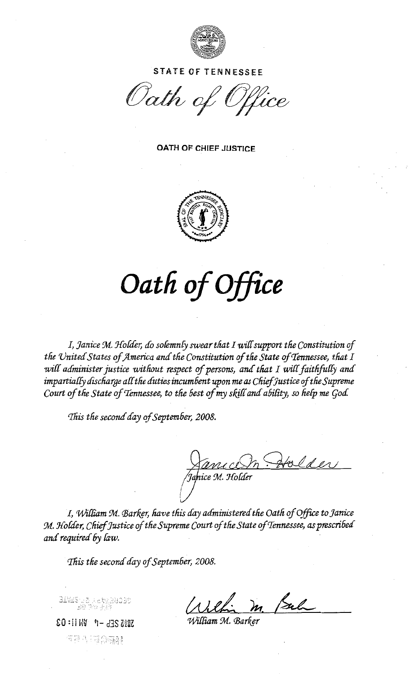

**STATE OF TENNESSEE** 

Oath of Office

**OATH OF CHIEF JUSTICE** 



## Oath of Office

I, Janice M. Holder, do solemnly swear that I will support the Constitution of the United States of America and the Constitution of the State of Tennessee, that I will administer justice without respect of persons, and that I will faithfully and impartially discharge all the duties incumbent upon me as Chief Justice of the Supreme Court of the State of Tennessee, to the best of my skill and ability, so help me God.

This the second day of September, 2008.

Janice M. Holder

I, William M. Barker, have this day administered the Oath of Office to Janice M. Holder, Chief Justice of the Supreme Court of the State of Tennessee, as prescribed and required by law.

This the second day of September, 2008.

20:11 MV 7- d3S 2002 역전 4 그래 유전류?

William M. Parker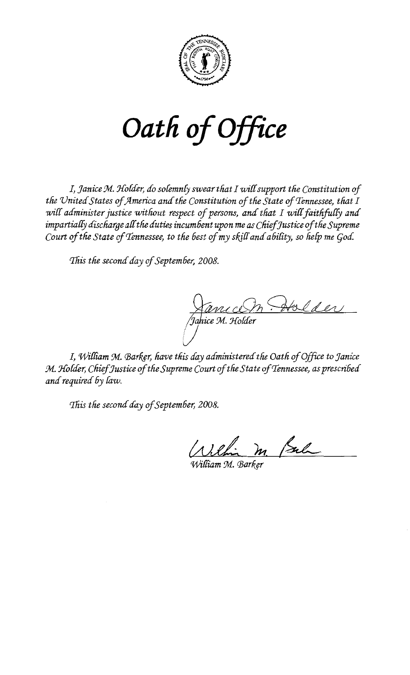

Oath of Office

I, Janice M. Holder, do solemnly swear that I will support the Constitution of the United States of America and the Constitution of the State of Tennessee, that I will administer justice without respect of persons, and that I will faithfully and impartially discharge all the duties incumbent upon me as Chief Justice of the Supreme Court of the State of Tennessee, to the best of my skill and ability, so help me God.

This the second day of September, 2008.

Janu ce m Doulder

I, William M. Barker, have this day administered the Oath of Office to Janice M. Holder, Chief Justice of the Supreme Court of the State of Tennessee, as prescribed and required by law.

This the second day of September, 2008.

Vilhi m. Pal

.<br>William M. Barker